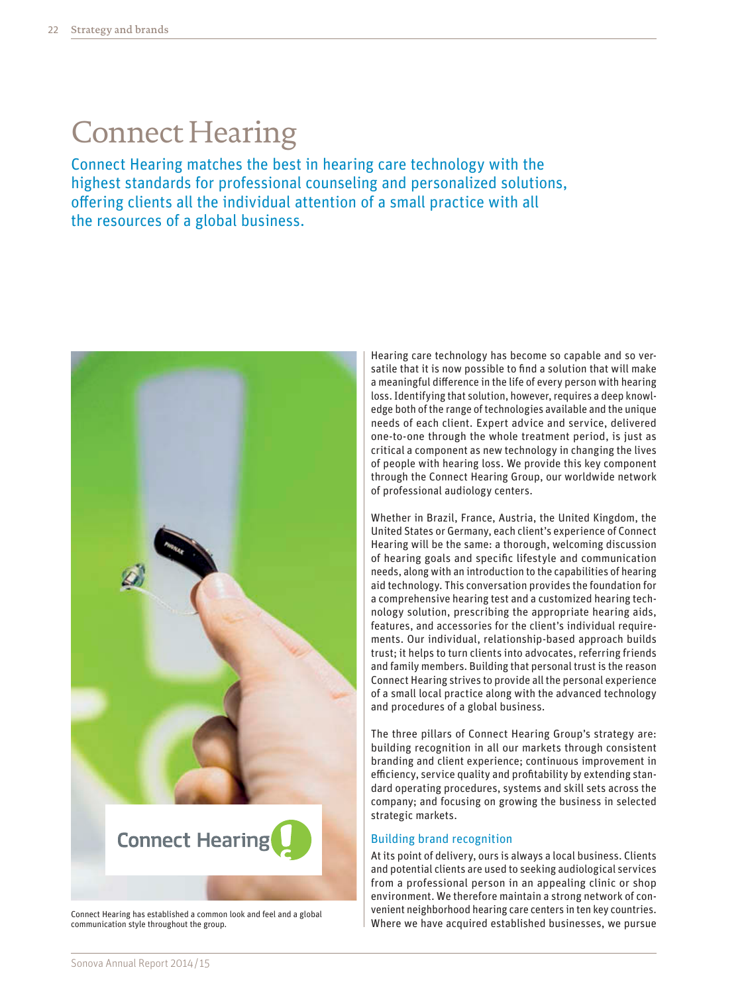## Connect Hearing

Connect Hearing matches the best in hearing care technology with the highest standards for professional counseling and personalized solutions, offering clients all the individual attention of a small practice with all the resources of a global business.



Connect Hearing has established a common look and feel and a global communication style throughout the group.

Hearing care technology has become so capable and so versatile that it is now possible to find a solution that will make a meaningful difference in the life of every person with hearing loss. Identifying that solution, however, requires a deep knowledge both of the range of technologies available and the unique needs of each client. Expert advice and service, delivered one-to-one through the whole treatment period, is just as critical a component as new technology in changing the lives of people with hearing loss. We provide this key component through the Connect Hearing Group, our worldwide network of professional audiology centers.

Whether in Brazil, France, Austria, the United Kingdom, the United States or Germany, each client's experience of Connect Hearing will be the same: a thorough, welcoming discussion of hearing goals and specific lifestyle and communication needs, along with an introduction to the capabilities of hearing aid technology. This conversation provides the foundation for a comprehensive hearing test and a customized hearing technology solution, prescribing the appropriate hearing aids, features, and accessories for the client's individual requirements. Our individual, relationship-based approach builds trust; it helps to turn clients into advocates, referring friends and family members. Building that personal trust is the reason Connect Hearing strives to provide all the personal experience of a small local practice along with the advanced technology and procedures of a global business.

The three pillars of Connect Hearing Group's strategy are: building recognition in all our markets through consistent branding and client experience; continuous improvement in efficiency, service quality and profitability by extending standard operating procedures, systems and skill sets across the company; and focusing on growing the business in selected strategic markets.

#### Building brand recognition

At its point of delivery, ours is always a local business. Clients and potential clients are used to seeking audiological services from a professional person in an appealing clinic or shop environment. We therefore maintain a strong network of convenient neighborhood hearing care centers in ten key countries. Where we have acquired established businesses, we pursue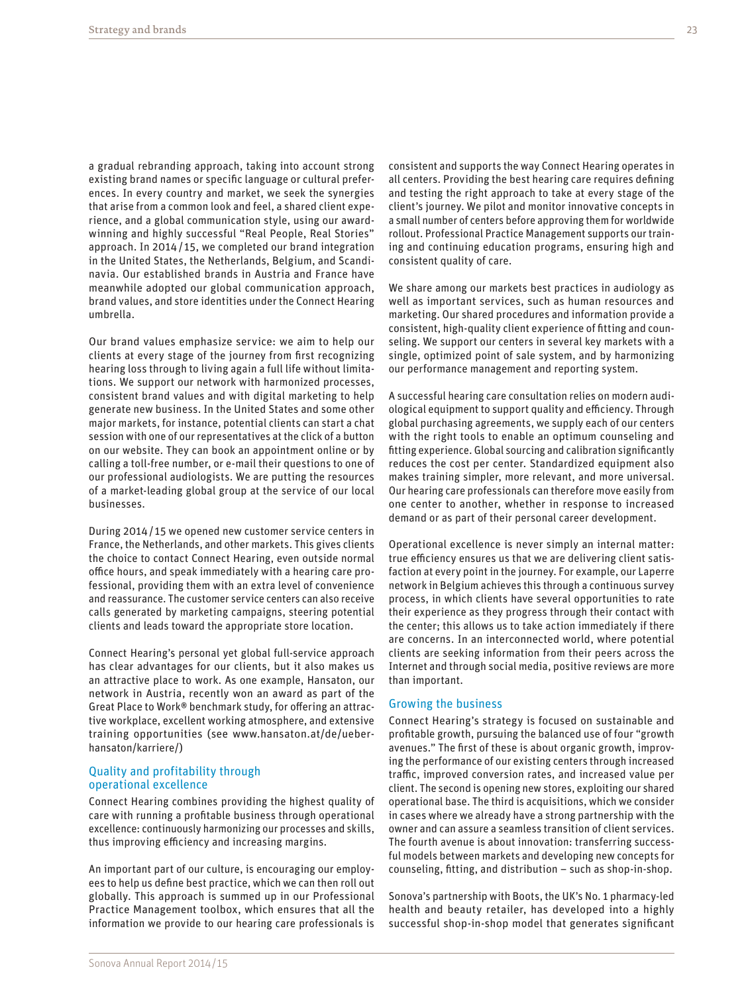a gradual rebranding approach, taking into account strong existing brand names or specific language or cultural preferences. In every country and market, we seek the synergies that arise from a common look and feel, a shared client experience, and a global communication style, using our awardwinning and highly successful "Real People, Real Stories" approach. In 2014/ 15, we completed our brand integration in the United States, the Netherlands, Belgium, and Scandinavia. Our established brands in Austria and France have meanwhile adopted our global communication approach, brand values, and store identities under the Connect Hearing umbrella.

Our brand values emphasize service: we aim to help our clients at every stage of the journey from first recognizing hearing loss through to living again a full life without limitations. We support our network with harmonized processes, consistent brand values and with digital marketing to help generate new business. In the United States and some other major markets, for instance, potential clients can start a chat session with one of our representatives at the click of a button on our website. They can book an appointment online or by calling a toll-free number, or e-mail their questions to one of our professional audiologists. We are putting the resources of a market-leading global group at the service of our local businesses.

During 2014/ 15 we opened new customer service centers in France, the Netherlands, and other markets. This gives clients the choice to contact Connect Hearing, even outside normal office hours, and speak immediately with a hearing care professional, providing them with an extra level of convenience and reassurance. The customer service centers can also receive calls generated by marketing campaigns, steering potential clients and leads toward the appropriate store location.

Connect Hearing's personal yet global full-service approach has clear advantages for our clients, but it also makes us an attractive place to work. As one example, Hansaton, our network in Austria, recently won an award as part of the Great Place to Work® benchmark study, for offering an attractive workplace, excellent working atmosphere, and extensive training opportunities (see [www.hansaton.at/de/ueber](http://www.hansaton.at/de/ueber)hansaton/karriere/)

#### Quality and profitability through operational excellence

Connect Hearing combines providing the highest quality of care with running a profitable business through operational excellence: continuously harmonizing our processes and skills, thus improving efficiency and increasing margins.

An important part of our culture, is encouraging our employees to help us define best practice, which we can then roll out globally. This approach is summed up in our Professional Practice Management toolbox, which ensures that all the information we provide to our hearing care professionals is

consistent and supports the way Connect Hearing operates in all centers. Providing the best hearing care requires defining and testing the right approach to take at every stage of the client's journey. We pilot and monitor innovative concepts in a small number of centers before approving them for worldwide rollout. Professional Practice Management supports our training and continuing education programs, ensuring high and consistent quality of care.

We share among our markets best practices in audiology as well as important services, such as human resources and marketing. Our shared procedures and information provide a consistent, high-quality client experience of fitting and counseling. We support our centers in several key markets with a single, optimized point of sale system, and by harmonizing our performance management and reporting system.

A successful hearing care consultation relies on modern audiological equipment to support quality and efficiency. Through global purchasing agreements, we supply each of our centers with the right tools to enable an optimum counseling and fitting experience. Global sourcing and calibration significantly reduces the cost per center. Standardized equipment also makes training simpler, more relevant, and more universal. Our hearing care professionals can therefore move easily from one center to another, whether in response to increased demand or as part of their personal career development.

Operational excellence is never simply an internal matter: true efficiency ensures us that we are delivering client satisfaction at every point in the journey. For example, our Laperre network in Belgium achieves this through a continuous survey process, in which clients have several opportunities to rate their experience as they progress through their contact with the center; this allows us to take action immediately if there are concerns. In an interconnected world, where potential clients are seeking information from their peers across the Internet and through social media, positive reviews are more than important.

#### Growing the business

Connect Hearing's strategy is focused on sustainable and profitable growth, pursuing the balanced use of four "growth avenues." The first of these is about organic growth, improving the performance of our existing centers through increased traffic, improved conversion rates, and increased value per client. The second is opening new stores, exploiting our shared operational base. The third is acquisitions, which we consider in cases where we already have a strong partnership with the owner and can assure a seamless transition of client services. The fourth avenue is about innovation: transferring successful models between markets and developing new concepts for counseling, fitting, and distribution – such as shop-in-shop.

Sonova's partnership with Boots, the UK's No. 1 pharmacy-led health and beauty retailer, has developed into a highly successful shop-in-shop model that generates significant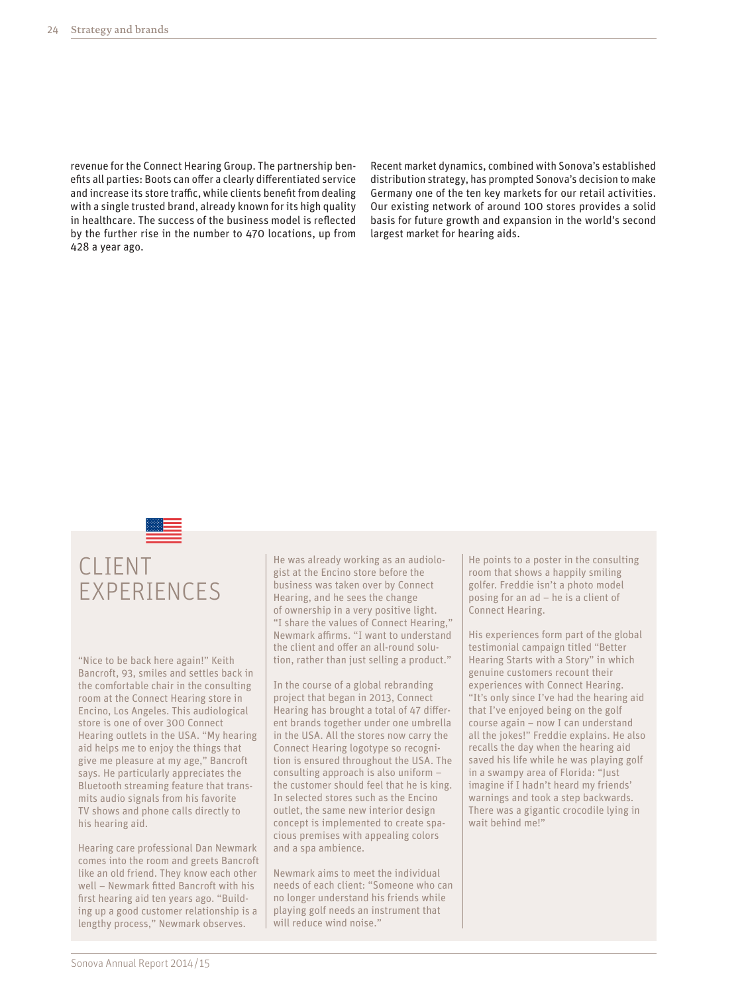revenue for the Connect Hearing Group. The partnership benefits all parties: Boots can offer a clearly differentiated service and increase its store traffic, while clients benefit from dealing with a single trusted brand, already known for its high quality in healthcare. The success of the business model is reflected by the further rise in the number to 470 locations, up from 428 a year ago.

Recent market dynamics, combined with Sonova's established distribution strategy, has prompted Sonova's decision to make Germany one of the ten key markets for our retail activities. Our existing network of around 100 stores provides a solid basis for future growth and expansion in the world's second largest market for hearing aids.

### CLIENT EXPERIENCES

"Nice to be back here again!" Keith Bancroft, 93, smiles and settles back in the comfortable chair in the consulting room at the Connect Hearing store in Encino, Los Angeles. This audiological store is one of over 300 Connect Hearing outlets in the USA. "My hearing aid helps me to enjoy the things that give me pleasure at my age," Bancroft says. He particularly appreciates the Bluetooth streaming feature that transmits audio signals from his favorite TV shows and phone calls directly to his hearing aid.

Hearing care professional Dan Newmark comes into the room and greets Bancroft like an old friend. They know each other well – Newmark fitted Bancroft with his first hearing aid ten years ago. "Building up a good customer relationship is a lengthy process," Newmark observes.

He was already working as an audiologist at the Encino store before the business was taken over by Connect Hearing, and he sees the change of ownership in a very positive light. "I share the values of Connect Hearing," Newmark affirms. "I want to understand the client and offer an all-round solution, rather than just selling a product."

In the course of a global rebranding project that began in 2013, Connect Hearing has brought a total of 47 different brands together under one umbrella in the USA. All the stores now carry the Connect Hearing logotype so recognition is ensured throughout the USA. The consulting approach is also uniform – the customer should feel that he is king. In selected stores such as the Encino outlet, the same new interior design concept is implemented to create spacious premises with appealing colors and a spa ambience.

Newmark aims to meet the individual needs of each client: "Someone who can no longer understand his friends while playing golf needs an instrument that will reduce wind noise '

He points to a poster in the consulting room that shows a happily smiling golfer. Freddie isn't a photo model posing for an ad – he is a client of Connect Hearing.

His experiences form part of the global testimonial campaign titled "Better Hearing Starts with a Story" in which genuine customers recount their experiences with Connect Hearing. "It's only since I've had the hearing aid that I've enjoyed being on the golf course again – now I can understand all the jokes!" Freddie explains. He also recalls the day when the hearing aid saved his life while he was playing golf in a swampy area of Florida: "Just imagine if I hadn't heard my friends' warnings and took a step backwards. There was a gigantic crocodile lying in wait behind me!"